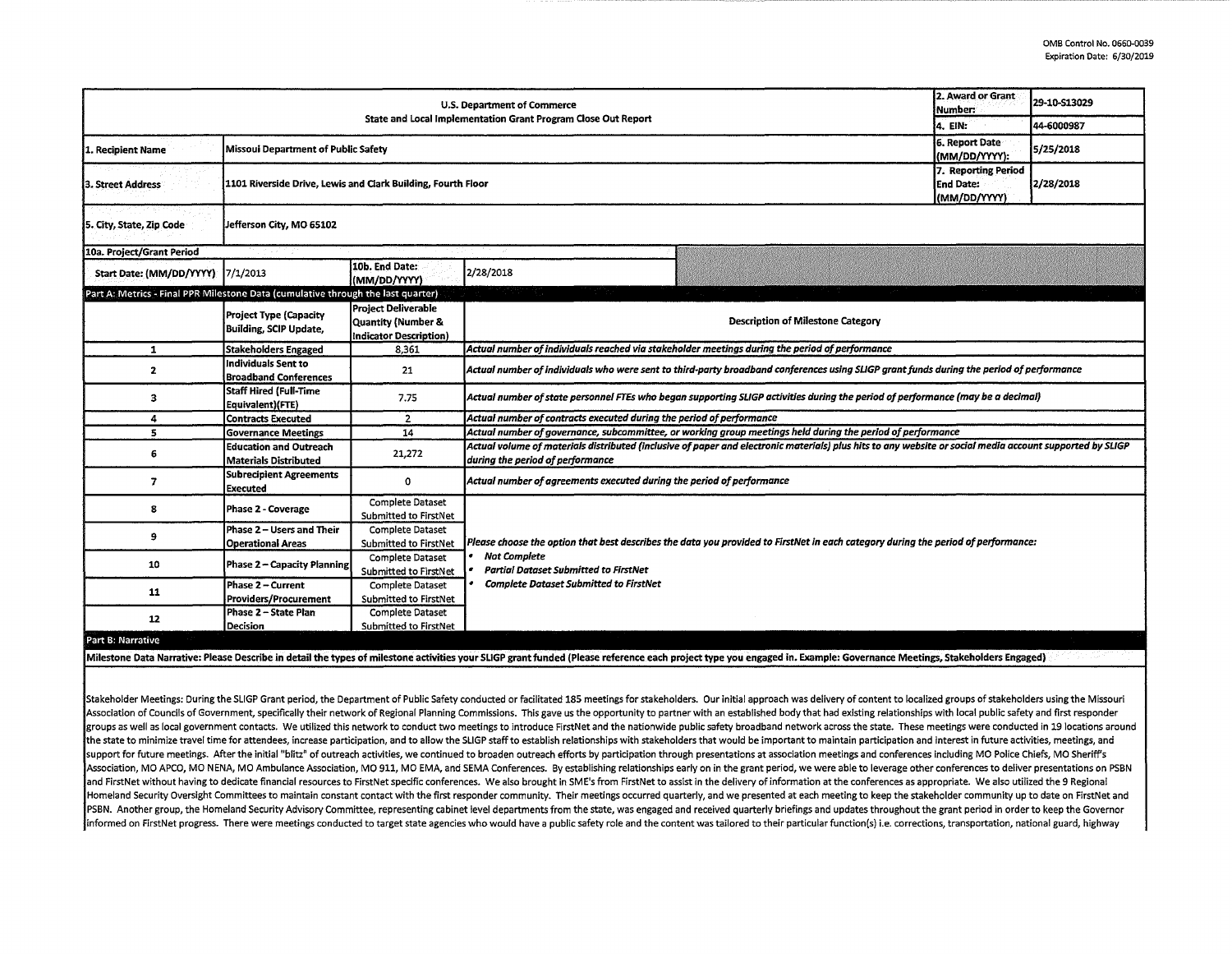| U.S. Department of Commerce<br>State and Local Implementation Grant Program Close Out Report |                                                                                                                  |                                                                            |                                                                                                                                                                                              |                                          |                                                           | 29-10-S13029 |  |  |  |
|----------------------------------------------------------------------------------------------|------------------------------------------------------------------------------------------------------------------|----------------------------------------------------------------------------|----------------------------------------------------------------------------------------------------------------------------------------------------------------------------------------------|------------------------------------------|-----------------------------------------------------------|--------------|--|--|--|
|                                                                                              |                                                                                                                  |                                                                            |                                                                                                                                                                                              |                                          |                                                           | 44-6000987   |  |  |  |
| 1. Recipient Name                                                                            | Missoui Department of Public Safety                                                                              |                                                                            |                                                                                                                                                                                              |                                          |                                                           | 5/25/2018    |  |  |  |
| 3. Street Address                                                                            | 1101 Riverside Drive, Lewis and Clark Building, Fourth Floor                                                     |                                                                            |                                                                                                                                                                                              |                                          |                                                           | 2/28/2018    |  |  |  |
| 5. City, State, Zip Code                                                                     | Jefferson City, MO 65102                                                                                         |                                                                            |                                                                                                                                                                                              |                                          |                                                           |              |  |  |  |
| 10a. Project/Grant Period                                                                    |                                                                                                                  |                                                                            |                                                                                                                                                                                              |                                          |                                                           |              |  |  |  |
| Start Date: (MM/DD/YYYY)                                                                     | 17/1/2013                                                                                                        | 10b. End Date:<br>(MM/DD/YYYY)                                             | 2/28/2018                                                                                                                                                                                    |                                          |                                                           |              |  |  |  |
| Part A: Metrics - Final PPR Milestone Data (cumulative through the last quarter)             |                                                                                                                  |                                                                            |                                                                                                                                                                                              |                                          |                                                           |              |  |  |  |
|                                                                                              | Project Type (Capacity<br><b>Building, SCIP Update,</b>                                                          | Proiect Deliverable<br>Quantity (Number &<br><b>Indicator Description)</b> |                                                                                                                                                                                              | <b>Description of Milestone Category</b> |                                                           |              |  |  |  |
| 1                                                                                            | <b>Stakeholders Engaged</b>                                                                                      | 8.361                                                                      | Actual number of individuals reached via stakeholder meetings during the period of performance                                                                                               |                                          |                                                           |              |  |  |  |
| 2                                                                                            | Individuals Sent to<br><b>Broadband Conferences</b>                                                              | 21                                                                         | Actual number of individuals who were sent to third-party broadband conferences using SLIGP grant funds during the period of performance                                                     |                                          |                                                           |              |  |  |  |
| 3                                                                                            | Staff Hired (Full-Time<br>Equivalent)(FTE)                                                                       | 7.75                                                                       | Actual number of state personnel FTEs who began supporting SLIGP activities during the period of performance (may be a decimal)                                                              |                                          |                                                           |              |  |  |  |
| 4                                                                                            | <b>Contracts Executed</b>                                                                                        | $\overline{2}$                                                             | Actual number of contracts executed during the period of performance                                                                                                                         |                                          |                                                           |              |  |  |  |
| 5                                                                                            | <b>Governance Meetings</b>                                                                                       | 14                                                                         | Actual number of governance, subcommittee, or working group meetings held during the period of performance                                                                                   |                                          |                                                           |              |  |  |  |
| 6                                                                                            | <b>Education and Outreach</b><br><b>Materials Distributed</b>                                                    | 21,272                                                                     | Actual volume of materials distributed (inclusive of paper and electronic materials) plus hits to any website or social media account supported by SLIGP<br>during the period of performance |                                          |                                                           |              |  |  |  |
| 7                                                                                            | <b>Subrecipient Agreements</b><br><b>Executed</b>                                                                | 0                                                                          | Actual number of agreements executed during the period of performance                                                                                                                        |                                          |                                                           |              |  |  |  |
| 8                                                                                            | Phase 2 - Coverage                                                                                               | <b>Complete Dataset</b><br>Submitted to FirstNet                           |                                                                                                                                                                                              |                                          |                                                           |              |  |  |  |
| 9                                                                                            | Phase 2 - Users and Their<br><b>Operational Areas</b>                                                            | <b>Complete Dataset</b><br>Submitted to FirstNet                           | Please choose the option that best describes the data you provided to FirstNet in each category during the period of performance:                                                            |                                          |                                                           |              |  |  |  |
| 10                                                                                           | Phase 2 - Capacity Planning                                                                                      | <b>Complete Dataset</b><br>Submitted to FirstNet                           | <b>Not Complete</b><br><b>Partial Dataset Submitted to FirstNet</b><br><b>Complete Dataset Submitted to FirstNet</b>                                                                         |                                          |                                                           |              |  |  |  |
| 11                                                                                           | Phase 2 – Current<br>Providers/Procurement                                                                       | <b>Complete Dataset</b><br>Submitted to FirstNet                           |                                                                                                                                                                                              |                                          |                                                           |              |  |  |  |
| 12                                                                                           | Phase 2 - State Plan<br><b>Decision</b>                                                                          | Complete Dataset<br><b>Submitted to FirstNet</b>                           |                                                                                                                                                                                              |                                          |                                                           |              |  |  |  |
| Part B: Narrative                                                                            |                                                                                                                  |                                                                            |                                                                                                                                                                                              |                                          |                                                           |              |  |  |  |
|                                                                                              | and the company of the company of the company of the company of the company of the company of the company of the | <b>Contract Contract Contract Contract</b>                                 | $\mathbf{r}$ , $\mathbf{r}$ , $\mathbf{r}$ , $\mathbf{r}$ , $\mathbf{r}$ , $\mathbf{r}$                                                                                                      |                                          | والمستحدث والمستحدث والمستقرع والمتحارب المتنافي المتواطن |              |  |  |  |

Milestone Data Narrative: Please Describe in detail the types of milestone activities your SLIGP grant funded (Please reference each project type you engaged in. Example: Governance Meetings, Stakeholders Engaged)

Stakeholder Meetings: During the SLIGP Grant period, the Department of Public Safety conducted or facilitated 185 meetings for stakeholders. Our initial approach was delivery of content to localized groups of stakeholders Association of Councils of Government, specifically their network of Regional Planning Commissions. This gave us the opportunity to partner with an established body that had existing relationships with local public safety groups as well as local government contacts. We utilized this network to conduct two meetings to introduce FirstNet and the nationwide public safety broadband network across the state. These meetings were conducted in 19 l the state to minimize travel time for attendees, increase participation, and to allow the SLIGP staff to establish relationships with stakeholders that would be important to maintain participation and interest in future ac support for future meetings. After the initial "blitz" of outreach activities, we continued to broaden outreach efforts by participation through presentations at association meetings and conferences including MO Police Chi Association, MO APCO, MO NENA, MO Ambulance Association, MO 911, MO EMA, and SEMA Conferences. By establishing relationships early on in the grant period, we were able to leverage other conferences to deliver presentations and FirstNet without having to dedicate financial resources to FirstNet specific conferences. We also brought in SME's from FirstNet to assist in the delivery of information at the conferences as appropriate. We also utili Homeland Security Oversight Committees to maintain constant contact with the first responder community. Their meetings occurred quarterly, and we presented at each meeting to keep the stakeholder community up to date on Fi PSBN. Another group, the Homeland Security Advisory Committee, representing cabinet level departments from the state, was engaged and received quarterly briefings and updates throughout the grant period in order to keep th informed on FirstNet progress. There were meetings conducted to target state agencies who would have a public safety role and the content was tailored to their particular function(s) i.e. corrections, transportation, natio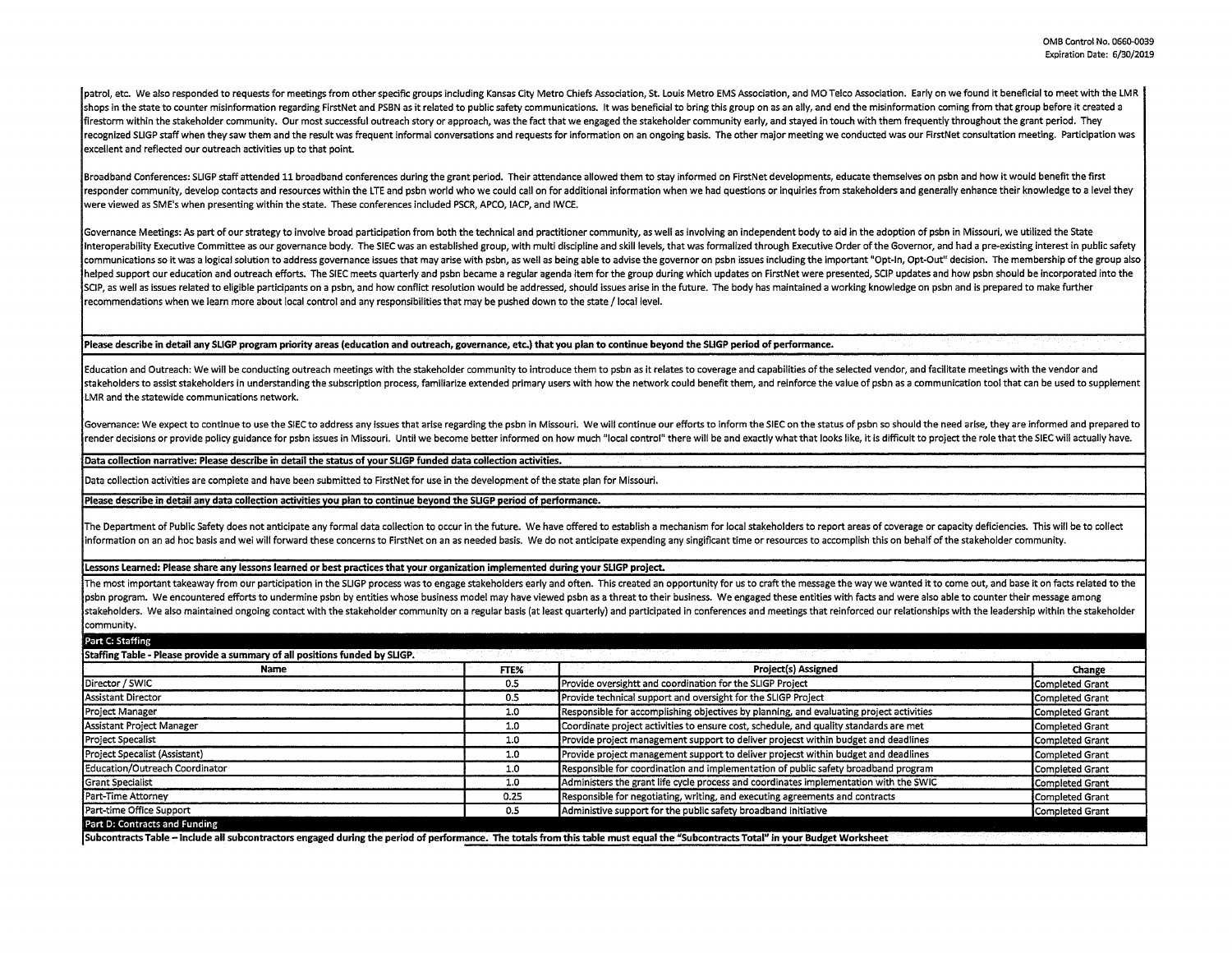Ipatrol, etc. We also responded to requests for meetings from other specific groups including Kansas City Metro Chiefs Association, St. Louis Metro EMS Association, and MO Telco Association. Early on we found it beneficial shops in the state to counter misinformation regarding FirstNet and PSBN as it related to public safety communications. It was beneficial to bring this group on as an ally, and end the misinformation coming from that group firestorm within the stakeholder community. Our most successful outreach story or approach, was the fact that we engaged the stakeholder community early, and stayed in touch with them frequently throughout the grant period recognized SLIGP staff when they saw them and the result was frequent informal conversations and requests for information on an ongoing basis. The other major meeting we conducted was our FirstNet consultation meeting. Par excellent and reflected our outreach activities up to that point.

Broadband Conferences: SLIGP staff attended 11 broadband conferences during the grant period. Their attendance allowed them to stay informed on FirstNet developments, educate themselves on psbn and how it would benefit the responder community, develop contacts and resources within the LTE and psbn world who we could call on for additional information when we had questions or inquiries from stakeholders and generally enhance their knowledge t were viewed as SM E's when presenting within the state. These conferences included PSCR, APCO, IACP, and IWCE.

Governance Meetings: As part of our strategy to involve broad participation from both the technical and practitioner community, as well as involving an independent body to aid in the adoption of psbn in Missouri, we utiliz Interoperability Executive Committee as our governance body. The SIEC was an established group, with multi discipline and skill levels, that was formalized through Executive Order of the Governor, and had a pre-existing in communications so it was a logical solution to address governance issues that may arise with psbn, as well as being able to advise the governor on psbn issues including the important "Opt-In, Opt-Out" decision. The members helped support our education and outreach efforts. The SIEC meets quarterly and psbn became a regular agenda item for the group during which updates on FirstNet were presented, SCIP updates and how psbn should be incorpora SCIP, as well as issues related to eligible participants on a psbn, and how conflict resolution would be addressed, should issues arise in the future. The body has maintained a working knowledge on psbn and is prepared to recommendations when we learn more about local control and any responsibilities that may be pushed down to the state/ local level.

## **Please describe in detail any SLIGP program priority areas (education and outreach, governance, etc.) that you plan to continue beyond the SUGP period of performance.**

Education and Outreach: We will be conducting outreach meetings with the stakeholder community to introduce them to psbn as it relates to coverage and capabilities of the selected vendor, and facilitate meetings with the v stakeholders to assist stakeholders in understanding the subscription process, familiarize extended primary users with how the network could benefit them, and reinforce the value of psbn as a communication tool that can be LMR and the statewide communications network.

Governance: We expect to continue to use the SIEC to address any issues that arise regarding the psbn in Missouri. We will continue our efforts to inform the SIEC on the status of psbn so should the need arise, they are in render decisions or provide policy guidance for psbn issues in Missouri. Until we become better informed on how much "local control" there will be and exactly what that looks like, it is difficult to project the role that

## **Data collection narrative: Please describe in detail the status of vour SUGP funded data collection activities.**

Data collection activities are complete and have been submitted to FirstNet for use in the development of the state plan for Missouri.

## **Please describe in detail any data collection activities you plan to continue beyond the SUGP period of performance.**

The Department of Public Safety does not anticipate any formal data collection to occur in the future. We have offered to establish a mechanism for local stakeholders to report areas of coverage or capacity deficiencies. T information on an ad hoc basis and wei will forward these concerns to FirstNet on an as needed basis. We do not anticipate expending any singificant time or resources to accomplish this on behalf of the stakeholder communi

## **Lessons Learned: Please share any lessons learned or best practices that your organization implemented during your SLIGP project.**

The most important takeaway from our participation in the SLIGP process was to engage stakeholders early and often. This created an opportunity for us to craft the message the way we wanted it to come out, and base it on f psbn program. We encountered efforts to undermine psbn by entities whose business model may have viewed psbn as a threat to their business. We engaged these entities with facts and were also able to counter their message a stakeholders. We also maintained ongoing contact with the stakeholder community on a regular basis (at least quarterly) and participated in conferences and meetings that reinforced our relationships with the leadership wit community.

| Part C: Staffing                                                            |      |                                                                                         |                 |  |  |  |
|-----------------------------------------------------------------------------|------|-----------------------------------------------------------------------------------------|-----------------|--|--|--|
| Staffing Table - Please provide a summary of all positions funded by SLIGP. |      |                                                                                         |                 |  |  |  |
| Name                                                                        | FTE% | Project(s) Assigned                                                                     | Change          |  |  |  |
| Director / SWIC                                                             | 0.5  | Provide oversightt and coordination for the SLIGP Project                               | Completed Grant |  |  |  |
| Assistant Director                                                          | 0.5  | Provide technical support and oversight for the SLIGP Project                           | Completed Grant |  |  |  |
| Project Manager                                                             | 1.0  | Responsible for accomplishing objectives by planning, and evaluating project activities | Completed Grant |  |  |  |
| Assistant Project Manager                                                   | 1.0  | Coordinate project activities to ensure cost, schedule, and quality standards are met   | Completed Grant |  |  |  |
| <b>Project Specalist</b>                                                    | 1.0  | Provide project management support to deliver projecst within budget and deadlines      | Completed Grant |  |  |  |
| Project Specalist (Assistant)                                               | 1.0  | Provide project management support to deliver projecst within budget and deadlines      | Completed Grant |  |  |  |
| Education/Outreach Coordinator                                              | 1.0  | Responsible for coordination and implementation of public safety broadband program      | Completed Grant |  |  |  |
| <b>Grant Specialist</b>                                                     | 1.0  | Administers the grant life cycle process and coordinates implementation with the SWIC   | Completed Grant |  |  |  |
| Part-Time Attorney                                                          | 0.25 | Responsible for negotiating, writing, and executing agreements and contracts            | Completed Grant |  |  |  |
| Part-time Office Support                                                    | 0.5  | Administive support for the public safety broadband initiative                          | Completed Grant |  |  |  |
| Part D: Contracts and Funding                                               |      |                                                                                         |                 |  |  |  |

**Subcontracts Table** - **Include all subcontractors engaged during the period of performance. The totals from this table must equal the "Subcontracts Total" in your Budget Worksheet**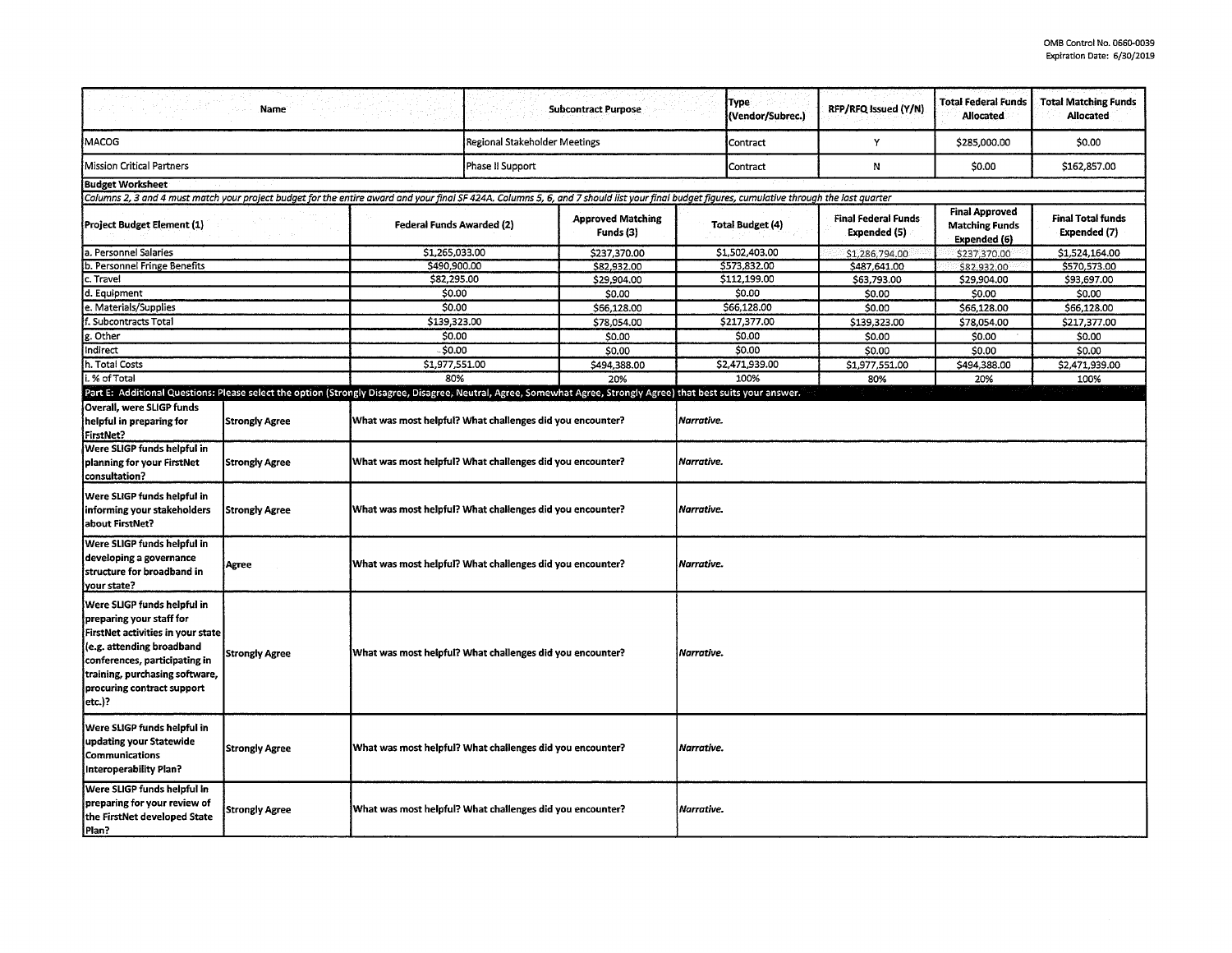|                                                                                                                                                                                                                                      | <b>Name</b>           |                                                                                                                                                                                                                                |                                       | <b>Subcontract Purpose</b>  |                         | <b>Type</b><br>(Vendor/Subrec.) | RFP/RFQ Issued (Y/N)                       | <b>Total Federal Funds</b><br><b>Allocated</b>                 | <b>Total Matching Funds</b><br>Allocated |
|--------------------------------------------------------------------------------------------------------------------------------------------------------------------------------------------------------------------------------------|-----------------------|--------------------------------------------------------------------------------------------------------------------------------------------------------------------------------------------------------------------------------|---------------------------------------|-----------------------------|-------------------------|---------------------------------|--------------------------------------------|----------------------------------------------------------------|------------------------------------------|
| MACOG                                                                                                                                                                                                                                |                       | Regional Stakeholder Meetings                                                                                                                                                                                                  |                                       |                             | Contract                | Y                               | \$285,000.00                               | \$0.00                                                         |                                          |
| Mission Critical Partners                                                                                                                                                                                                            |                       |                                                                                                                                                                                                                                | Phase II Support                      |                             |                         | Contract                        | N                                          | \$0.00                                                         | \$162,857.00                             |
| <b>Budget Worksheet</b>                                                                                                                                                                                                              |                       |                                                                                                                                                                                                                                |                                       |                             |                         |                                 |                                            |                                                                |                                          |
| Columns 2, 3 and 4 must match your project budget for the entire award and your final SF 424A. Columns 5, 6, and 7 should list your final budget figures, cumulative through the last quarter                                        |                       |                                                                                                                                                                                                                                |                                       |                             |                         |                                 |                                            |                                                                |                                          |
| (Project Budget Element (1)                                                                                                                                                                                                          |                       | <b>Federal Funds Awarded (2)</b>                                                                                                                                                                                               | <b>Approved Matching</b><br>Funds (3) |                             | <b>Total Budget (4)</b> |                                 | <b>Final Federal Funds</b><br>Expended (5) | <b>Final Approved</b><br><b>Matching Funds</b><br>Expended (6) | <b>Final Total funds</b><br>Expended (7) |
| la. Personnel Salaries                                                                                                                                                                                                               |                       | \$1,265,033.00                                                                                                                                                                                                                 |                                       | \$237,370.00<br>\$82,932.00 |                         | \$1,502,403.00                  | \$1,286,794.00                             | \$237,370.00                                                   | \$1,524,164.00                           |
| b. Personnel Fringe Benefits                                                                                                                                                                                                         |                       |                                                                                                                                                                                                                                | \$490,900.00<br>\$29,904.00           |                             | \$573,832.00            |                                 | \$487,641.00                               | \$82,932.00                                                    | \$570,573.00                             |
| c. Travel                                                                                                                                                                                                                            |                       |                                                                                                                                                                                                                                | \$82,295.00                           |                             | \$112,199.00            |                                 | \$63,793.00                                | \$29,904.00                                                    | \$93,697.00                              |
| d. Equipment                                                                                                                                                                                                                         |                       |                                                                                                                                                                                                                                | \$0.00                                |                             | \$0.00                  |                                 | \$0.00                                     | \$0.00                                                         | \$0.00                                   |
| e. Materials/Supplies                                                                                                                                                                                                                |                       |                                                                                                                                                                                                                                | 50.00                                 |                             | \$66,128.00             |                                 | \$0.00                                     | \$66,128.00                                                    | \$66,128.00                              |
| f. Subcontracts Total                                                                                                                                                                                                                |                       |                                                                                                                                                                                                                                | \$139,323.00                          |                             | \$217,377.00            |                                 | \$139,323.00                               | \$78,054.00                                                    | \$217,377.00                             |
| g. Other                                                                                                                                                                                                                             |                       | \$0.00                                                                                                                                                                                                                         |                                       | \$0.00                      |                         | \$0.00                          | \$0.00                                     | \$0.00                                                         | \$0.00                                   |
| Indirect                                                                                                                                                                                                                             |                       | $-50.00$                                                                                                                                                                                                                       |                                       | \$0.00                      |                         | \$0.00                          | \$0.00                                     | \$0.00                                                         | \$0.00                                   |
| h. Total Costs                                                                                                                                                                                                                       |                       | \$1,977,551.00                                                                                                                                                                                                                 |                                       | \$494.388.00                |                         | \$2,471,939.00                  | \$1,977,551.00                             | \$494,388.00                                                   | \$2,471,939.00                           |
| .% of Total                                                                                                                                                                                                                          |                       | 80%                                                                                                                                                                                                                            |                                       | 20%                         |                         | 100%                            | 80%                                        | 20%                                                            | 100%                                     |
| Overall, were SLIGP funds<br>helpful in preparing for<br>FirstNet?                                                                                                                                                                   | <b>Strongly Agree</b> | Part E: Additional Questions: Please select the option (Strongly Disagree, Disagree, Neutral, Agree, Somewhat Agree, Strongly Agree) that best suits your answer.<br>What was most helpful? What challenges did you encounter? |                                       |                             | Narrative.              |                                 |                                            |                                                                |                                          |
| Were SLIGP funds helpful in<br>planning for your FirstNet<br>consultation?                                                                                                                                                           | <b>Strongly Agree</b> | What was most helpful? What challenges did you encounter?                                                                                                                                                                      |                                       |                             | Narrative.              |                                 |                                            |                                                                |                                          |
| Were SLIGP funds helpful in<br>informing your stakeholders<br>about FirstNet?                                                                                                                                                        | <b>Strongly Agree</b> | What was most helpful? What challenges did you encounter?                                                                                                                                                                      |                                       |                             | Narrative.              |                                 |                                            |                                                                |                                          |
| Were SLIGP funds helpful in<br>developing a governance<br>structure for broadband in<br>your state?                                                                                                                                  | Agree                 | What was most helpful? What challenges did you encounter?                                                                                                                                                                      |                                       |                             | Narrative.              |                                 |                                            |                                                                |                                          |
| Were SLIGP funds helpful in<br>preparing your staff for<br>FirstNet activities in your state<br>(e.g. attending broadband<br>conferences, participating in<br>training, purchasing software,<br>procuring contract support<br>etc.)? | <b>Strongly Agree</b> | What was most helpful? What challenges did you encounter?                                                                                                                                                                      |                                       | Narrative.                  |                         |                                 |                                            |                                                                |                                          |
| Were SLIGP funds helpful in<br>updating your Statewide<br>Communications<br>Interoperability Plan?                                                                                                                                   | <b>Strongly Agree</b> | What was most helpful? What challenges did you encounter?                                                                                                                                                                      |                                       | Narrative.                  |                         |                                 |                                            |                                                                |                                          |
| Were SLIGP funds helpful in<br>preparing for your review of<br>the FirstNet developed State<br>Plan?                                                                                                                                 | Strongly Agree        | What was most helpful? What challenges did you encounter?                                                                                                                                                                      |                                       |                             | Narrative.              |                                 |                                            |                                                                |                                          |